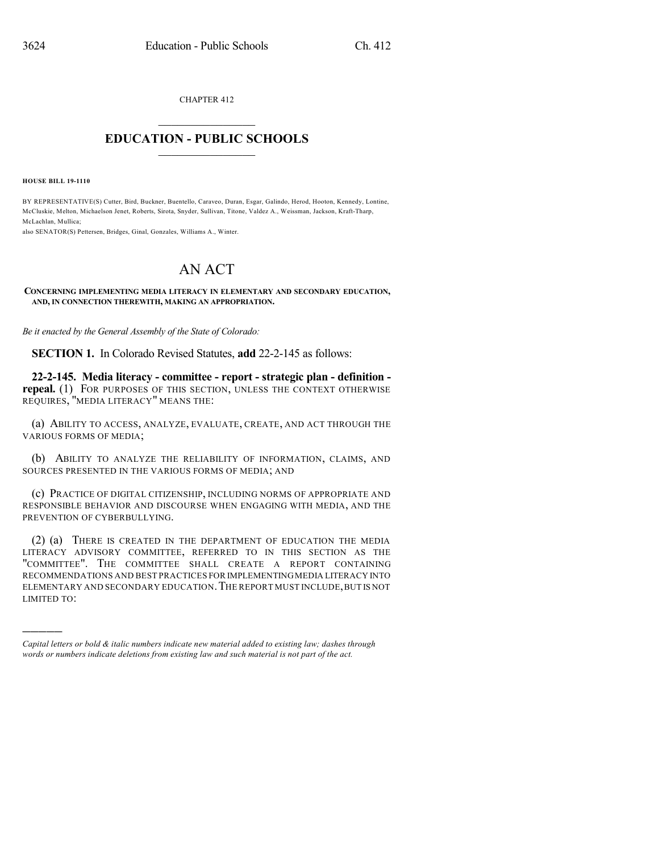CHAPTER 412

## $\overline{\phantom{a}}$  . The set of the set of the set of the set of the set of the set of the set of the set of the set of the set of the set of the set of the set of the set of the set of the set of the set of the set of the set o **EDUCATION - PUBLIC SCHOOLS**  $\_$   $\_$   $\_$   $\_$   $\_$   $\_$   $\_$   $\_$   $\_$

**HOUSE BILL 19-1110**

)))))

BY REPRESENTATIVE(S) Cutter, Bird, Buckner, Buentello, Caraveo, Duran, Esgar, Galindo, Herod, Hooton, Kennedy, Lontine, McCluskie, Melton, Michaelson Jenet, Roberts, Sirota, Snyder, Sullivan, Titone, Valdez A., Weissman, Jackson, Kraft-Tharp, McLachlan, Mullica;

also SENATOR(S) Pettersen, Bridges, Ginal, Gonzales, Williams A., Winter.

## AN ACT

## **CONCERNING IMPLEMENTING MEDIA LITERACY IN ELEMENTARY AND SECONDARY EDUCATION, AND, IN CONNECTION THEREWITH, MAKING AN APPROPRIATION.**

*Be it enacted by the General Assembly of the State of Colorado:*

**SECTION 1.** In Colorado Revised Statutes, **add** 22-2-145 as follows:

**22-2-145. Media literacy - committee - report - strategic plan - definition repeal.** (1) FOR PURPOSES OF THIS SECTION, UNLESS THE CONTEXT OTHERWISE REQUIRES, "MEDIA LITERACY" MEANS THE:

(a) ABILITY TO ACCESS, ANALYZE, EVALUATE, CREATE, AND ACT THROUGH THE VARIOUS FORMS OF MEDIA;

(b) ABILITY TO ANALYZE THE RELIABILITY OF INFORMATION, CLAIMS, AND SOURCES PRESENTED IN THE VARIOUS FORMS OF MEDIA; AND

(c) PRACTICE OF DIGITAL CITIZENSHIP, INCLUDING NORMS OF APPROPRIATE AND RESPONSIBLE BEHAVIOR AND DISCOURSE WHEN ENGAGING WITH MEDIA, AND THE PREVENTION OF CYBERBULLYING.

(2) (a) THERE IS CREATED IN THE DEPARTMENT OF EDUCATION THE MEDIA LITERACY ADVISORY COMMITTEE, REFERRED TO IN THIS SECTION AS THE "COMMITTEE". THE COMMITTEE SHALL CREATE A REPORT CONTAINING RECOMMENDATIONS AND BEST PRACTICES FOR IMPLEMENTINGMEDIA LITERACY INTO ELEMENTARY AND SECONDARY EDUCATION. THE REPORT MUST INCLUDE, BUT IS NOT LIMITED TO:

*Capital letters or bold & italic numbers indicate new material added to existing law; dashes through words or numbers indicate deletions from existing law and such material is not part of the act.*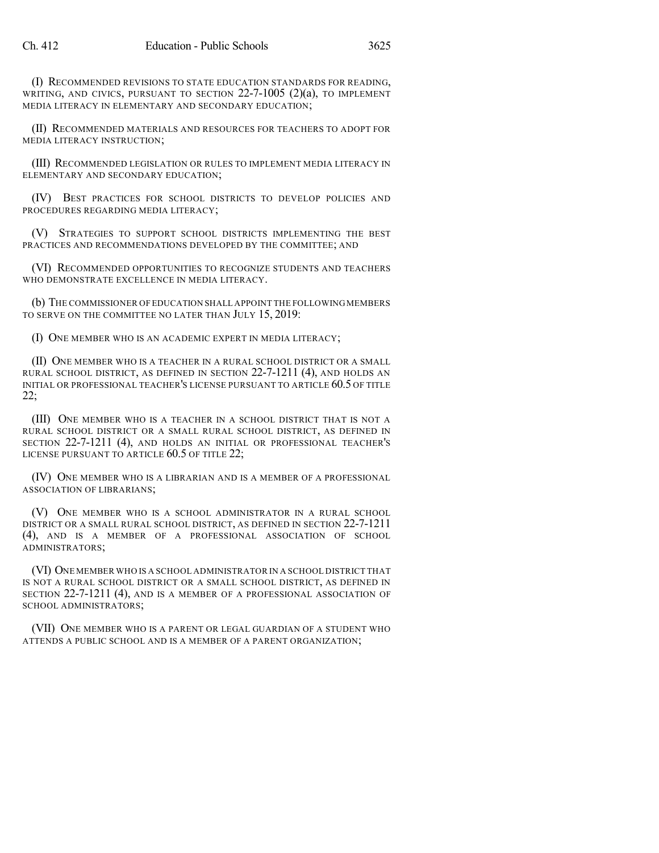(I) RECOMMENDED REVISIONS TO STATE EDUCATION STANDARDS FOR READING, WRITING, AND CIVICS, PURSUANT TO SECTION  $22$ -7-1005 (2)(a), TO IMPLEMENT MEDIA LITERACY IN ELEMENTARY AND SECONDARY EDUCATION;

(II) RECOMMENDED MATERIALS AND RESOURCES FOR TEACHERS TO ADOPT FOR MEDIA LITERACY INSTRUCTION;

(III) RECOMMENDED LEGISLATION OR RULES TO IMPLEMENT MEDIA LITERACY IN ELEMENTARY AND SECONDARY EDUCATION;

(IV) BEST PRACTICES FOR SCHOOL DISTRICTS TO DEVELOP POLICIES AND PROCEDURES REGARDING MEDIA LITERACY;

(V) STRATEGIES TO SUPPORT SCHOOL DISTRICTS IMPLEMENTING THE BEST PRACTICES AND RECOMMENDATIONS DEVELOPED BY THE COMMITTEE; AND

(VI) RECOMMENDED OPPORTUNITIES TO RECOGNIZE STUDENTS AND TEACHERS WHO DEMONSTRATE EXCELLENCE IN MEDIA LITERACY.

(b) THE COMMISSIONER OF EDUCATION SHALL APPOINT THE FOLLOWINGMEMBERS TO SERVE ON THE COMMITTEE NO LATER THAN JULY 15, 2019:

(I) ONE MEMBER WHO IS AN ACADEMIC EXPERT IN MEDIA LITERACY;

(II) ONE MEMBER WHO IS A TEACHER IN A RURAL SCHOOL DISTRICT OR A SMALL RURAL SCHOOL DISTRICT, AS DEFINED IN SECTION 22-7-1211 (4), AND HOLDS AN INITIAL OR PROFESSIONAL TEACHER'S LICENSE PURSUANT TO ARTICLE 60.5 OF TITLE 22;

(III) ONE MEMBER WHO IS A TEACHER IN A SCHOOL DISTRICT THAT IS NOT A RURAL SCHOOL DISTRICT OR A SMALL RURAL SCHOOL DISTRICT, AS DEFINED IN SECTION 22-7-1211 (4), AND HOLDS AN INITIAL OR PROFESSIONAL TEACHER'S LICENSE PURSUANT TO ARTICLE 60.5 OF TITLE 22;

(IV) ONE MEMBER WHO IS A LIBRARIAN AND IS A MEMBER OF A PROFESSIONAL ASSOCIATION OF LIBRARIANS;

(V) ONE MEMBER WHO IS A SCHOOL ADMINISTRATOR IN A RURAL SCHOOL DISTRICT OR A SMALL RURAL SCHOOL DISTRICT, AS DEFINED IN SECTION 22-7-1211 (4), AND IS A MEMBER OF A PROFESSIONAL ASSOCIATION OF SCHOOL ADMINISTRATORS;

(VI) ONE MEMBER WHO IS A SCHOOL ADMINISTRATOR IN A SCHOOL DISTRICT THAT IS NOT A RURAL SCHOOL DISTRICT OR A SMALL SCHOOL DISTRICT, AS DEFINED IN SECTION 22-7-1211 (4), AND IS A MEMBER OF A PROFESSIONAL ASSOCIATION OF SCHOOL ADMINISTRATORS;

(VII) ONE MEMBER WHO IS A PARENT OR LEGAL GUARDIAN OF A STUDENT WHO ATTENDS A PUBLIC SCHOOL AND IS A MEMBER OF A PARENT ORGANIZATION;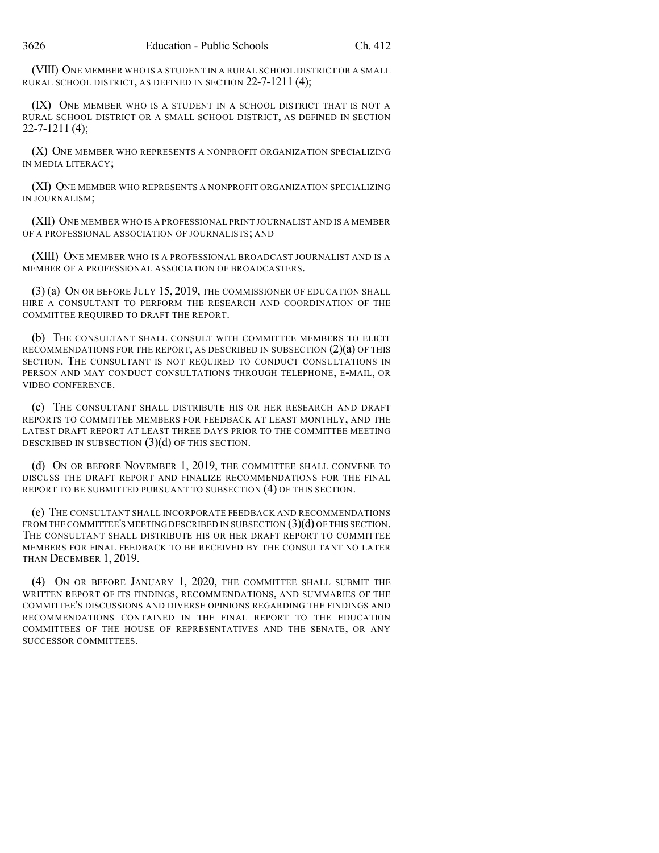(VIII) ONE MEMBER WHO IS A STUDENT IN A RURAL SCHOOL DISTRICT OR A SMALL RURAL SCHOOL DISTRICT, AS DEFINED IN SECTION 22-7-1211 (4);

(IX) ONE MEMBER WHO IS A STUDENT IN A SCHOOL DISTRICT THAT IS NOT A RURAL SCHOOL DISTRICT OR A SMALL SCHOOL DISTRICT, AS DEFINED IN SECTION 22-7-1211 (4);

(X) ONE MEMBER WHO REPRESENTS A NONPROFIT ORGANIZATION SPECIALIZING IN MEDIA LITERACY;

(XI) ONE MEMBER WHO REPRESENTS A NONPROFIT ORGANIZATION SPECIALIZING IN JOURNALISM;

(XII) ONE MEMBER WHO IS A PROFESSIONAL PRINT JOURNALIST AND IS A MEMBER OF A PROFESSIONAL ASSOCIATION OF JOURNALISTS; AND

(XIII) ONE MEMBER WHO IS A PROFESSIONAL BROADCAST JOURNALIST AND IS A MEMBER OF A PROFESSIONAL ASSOCIATION OF BROADCASTERS.

(3) (a) ON OR BEFORE JULY 15, 2019, THE COMMISSIONER OF EDUCATION SHALL HIRE A CONSULTANT TO PERFORM THE RESEARCH AND COORDINATION OF THE COMMITTEE REQUIRED TO DRAFT THE REPORT.

(b) THE CONSULTANT SHALL CONSULT WITH COMMITTEE MEMBERS TO ELICIT RECOMMENDATIONS FOR THE REPORT, AS DESCRIBED IN SUBSECTION (2)(a) OF THIS SECTION. THE CONSULTANT IS NOT REQUIRED TO CONDUCT CONSULTATIONS IN PERSON AND MAY CONDUCT CONSULTATIONS THROUGH TELEPHONE, E-MAIL, OR VIDEO CONFERENCE.

(c) THE CONSULTANT SHALL DISTRIBUTE HIS OR HER RESEARCH AND DRAFT REPORTS TO COMMITTEE MEMBERS FOR FEEDBACK AT LEAST MONTHLY, AND THE LATEST DRAFT REPORT AT LEAST THREE DAYS PRIOR TO THE COMMITTEE MEETING DESCRIBED IN SUBSECTION (3)(d) OF THIS SECTION.

(d) ON OR BEFORE NOVEMBER 1, 2019, THE COMMITTEE SHALL CONVENE TO DISCUSS THE DRAFT REPORT AND FINALIZE RECOMMENDATIONS FOR THE FINAL REPORT TO BE SUBMITTED PURSUANT TO SUBSECTION (4) OF THIS SECTION.

(e) THE CONSULTANT SHALL INCORPORATE FEEDBACK AND RECOMMENDATIONS FROM THE COMMITTEE'S MEETING DESCRIBED IN SUBSECTION  $(3)(d)$  OF THIS SECTION. THE CONSULTANT SHALL DISTRIBUTE HIS OR HER DRAFT REPORT TO COMMITTEE MEMBERS FOR FINAL FEEDBACK TO BE RECEIVED BY THE CONSULTANT NO LATER THAN DECEMBER 1, 2019.

(4) ON OR BEFORE JANUARY 1, 2020, THE COMMITTEE SHALL SUBMIT THE WRITTEN REPORT OF ITS FINDINGS, RECOMMENDATIONS, AND SUMMARIES OF THE COMMITTEE'S DISCUSSIONS AND DIVERSE OPINIONS REGARDING THE FINDINGS AND RECOMMENDATIONS CONTAINED IN THE FINAL REPORT TO THE EDUCATION COMMITTEES OF THE HOUSE OF REPRESENTATIVES AND THE SENATE, OR ANY SUCCESSOR COMMITTEES.